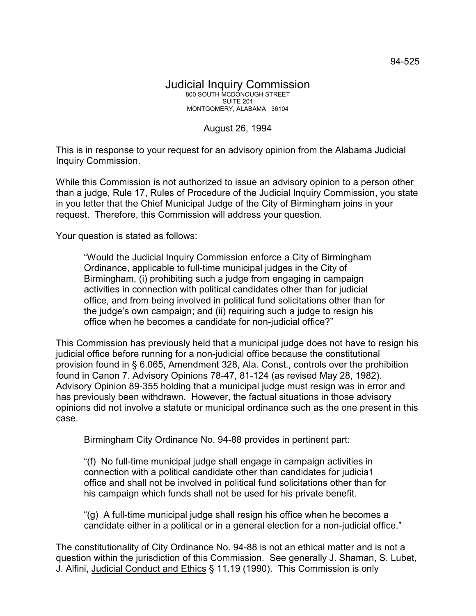## August 26, 1994

This is in response to your request for an advisory opinion from the Alabama Judicial Inquiry Commission.

While this Commission is not authorized to issue an advisory opinion to a person other than a judge, Rule 17, Rules of Procedure of the Judicial Inquiry Commission, you state in you letter that the Chief Municipal Judge of the City of Birmingham joins in your request. Therefore, this Commission will address your question.

Your question is stated as follows:

"Would the Judicial Inquiry Commission enforce a City of Birmingham Ordinance, applicable to full-time municipal judges in the City of Birmingham, (i) prohibiting such a judge from engaging in campaign activities in connection with political candidates other than for judicial office, and from being involved in political fund solicitations other than for the judge's own campaign; and (ii) requiring such a judge to resign his office when he becomes a candidate for non-judicial office?"

This Commission has previously held that a municipal judge does not have to resign his judicial office before running for a non-judicial office because the constitutional provision found in § 6.065, Amendment 328, Ala. Const., controls over the prohibition found in Canon 7. Advisory Opinions 78-47, 81-124 (as revised May 28, 1982). Advisory Opinion 89-355 holding that a municipal judge must resign was in error and has previously been withdrawn. However, the factual situations in those advisory opinions did not involve a statute or municipal ordinance such as the one present in this case.

Birmingham City Ordinance No. 94-88 provides in pertinent part:

"(f) No full-time municipal judge shall engage in campaign activities in connection with a political candidate other than candidates for judicia1 office and shall not be involved in political fund solicitations other than for his campaign which funds shall not be used for his private benefit.

"(g) A full-time municipal judge shall resign his office when he becomes a candidate either in a political or in a general election for a non-judicial office."

The constitutionality of City Ordinance No. 94-88 is not an ethical matter and is not a question within the jurisdiction of this Commission. See generally J. Shaman, S. Lubet, J. Alfini, Judicial Conduct and Ethics § 11.19 (1990). This Commission is only